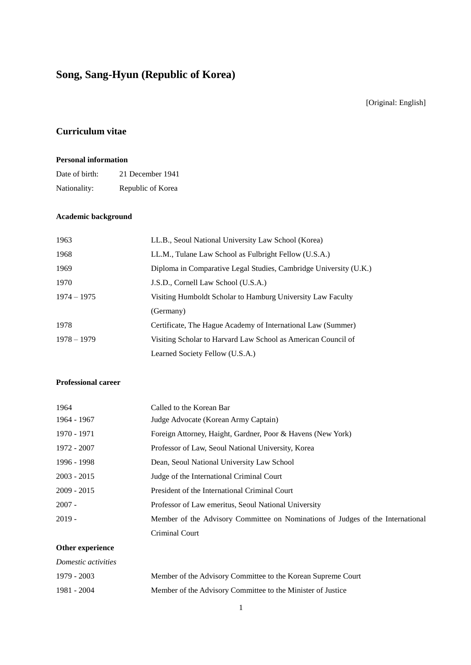# **Song, Sang-Hyun (Republic of Korea)**

[Original: English]

## **Curriculum vitae**

#### **Personal information**

| Date of birth: | 21 December 1941  |
|----------------|-------------------|
| Nationality:   | Republic of Korea |

### **Academic background**

| 1963          | LL.B., Seoul National University Law School (Korea)               |
|---------------|-------------------------------------------------------------------|
| 1968          | LL.M., Tulane Law School as Fulbright Fellow (U.S.A.)             |
| 1969          | Diploma in Comparative Legal Studies, Cambridge University (U.K.) |
| 1970          | J.S.D., Cornell Law School (U.S.A.)                               |
| $1974 - 1975$ | Visiting Humboldt Scholar to Hamburg University Law Faculty       |
|               | (Germany)                                                         |
| 1978          | Certificate, The Hague Academy of International Law (Summer)      |
| $1978 - 1979$ | Visiting Scholar to Harvard Law School as American Council of     |
|               | Learned Society Fellow (U.S.A.)                                   |

#### **Professional career**

| 1964          | Called to the Korean Bar                                                       |
|---------------|--------------------------------------------------------------------------------|
| 1964 - 1967   | Judge Advocate (Korean Army Captain)                                           |
| 1970 - 1971   | Foreign Attorney, Haight, Gardner, Poor & Havens (New York)                    |
| 1972 - 2007   | Professor of Law, Seoul National University, Korea                             |
| 1996 - 1998   | Dean, Seoul National University Law School                                     |
| $2003 - 2015$ | Judge of the International Criminal Court                                      |
| $2009 - 2015$ | President of the International Criminal Court                                  |
| $2007 -$      | Professor of Law emeritus, Seoul National University                           |
| $2019 -$      | Member of the Advisory Committee on Nominations of Judges of the International |
|               | Criminal Court                                                                 |

### **Other experience**

| Domestic activities |                                                              |
|---------------------|--------------------------------------------------------------|
| 1979 - 2003         | Member of the Advisory Committee to the Korean Supreme Court |
| 1981 - 2004         | Member of the Advisory Committee to the Minister of Justice  |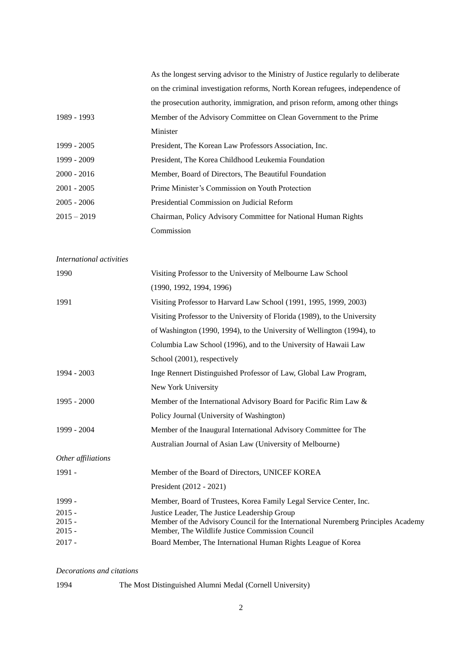|                          | As the longest serving advisor to the Ministry of Justice regularly to deliberate                                                    |
|--------------------------|--------------------------------------------------------------------------------------------------------------------------------------|
|                          | on the criminal investigation reforms, North Korean refugees, independence of                                                        |
|                          | the prosecution authority, immigration, and prison reform, among other things                                                        |
| 1989 - 1993              | Member of the Advisory Committee on Clean Government to the Prime                                                                    |
|                          | Minister                                                                                                                             |
| 1999 - 2005              | President, The Korean Law Professors Association, Inc.                                                                               |
| 1999 - 2009              | President, The Korea Childhood Leukemia Foundation                                                                                   |
| $2000 - 2016$            | Member, Board of Directors, The Beautiful Foundation                                                                                 |
| $2001 - 2005$            | Prime Minister's Commission on Youth Protection                                                                                      |
| $2005 - 2006$            | Presidential Commission on Judicial Reform                                                                                           |
| $2015 - 2019$            | Chairman, Policy Advisory Committee for National Human Rights                                                                        |
|                          | Commission                                                                                                                           |
|                          |                                                                                                                                      |
| International activities |                                                                                                                                      |
| 1990                     | Visiting Professor to the University of Melbourne Law School                                                                         |
|                          | (1990, 1992, 1994, 1996)                                                                                                             |
| 1991                     | Visiting Professor to Harvard Law School (1991, 1995, 1999, 2003)                                                                    |
|                          | Visiting Professor to the University of Florida (1989), to the University                                                            |
|                          | of Washington (1990, 1994), to the University of Wellington (1994), to                                                               |
|                          | Columbia Law School (1996), and to the University of Hawaii Law                                                                      |
|                          | School (2001), respectively                                                                                                          |
| 1994 - 2003              | Inge Rennert Distinguished Professor of Law, Global Law Program,                                                                     |
|                          | New York University                                                                                                                  |
| 1995 - 2000              | Member of the International Advisory Board for Pacific Rim Law &                                                                     |
|                          | Policy Journal (University of Washington)                                                                                            |
| 1999 - 2004              | Member of the Inaugural International Advisory Committee for The                                                                     |
|                          | Australian Journal of Asian Law (University of Melbourne)                                                                            |
| Other affiliations       |                                                                                                                                      |
| 1991 -                   | Member of the Board of Directors, UNICEF KOREA                                                                                       |
|                          | President (2012 - 2021)                                                                                                              |
| 1999 -                   | Member, Board of Trustees, Korea Family Legal Service Center, Inc.                                                                   |
| $2015 -$                 | Justice Leader, The Justice Leadership Group                                                                                         |
| $2015 -$<br>$2015 -$     | Member of the Advisory Council for the International Nuremberg Principles Academy<br>Member, The Wildlife Justice Commission Council |
| $2017 -$                 | Board Member, The International Human Rights League of Korea                                                                         |
|                          |                                                                                                                                      |

*Decorations and citations*

1994 The Most Distinguished Alumni Medal (Cornell University)